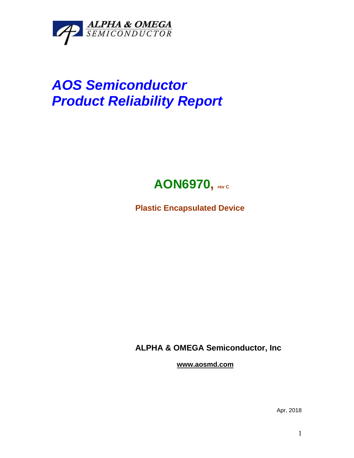

## *AOS Semiconductor Product Reliability Report*



**Plastic Encapsulated Device**

**ALPHA & OMEGA Semiconductor, Inc**

**www.aosmd.com**

Apr, 2018